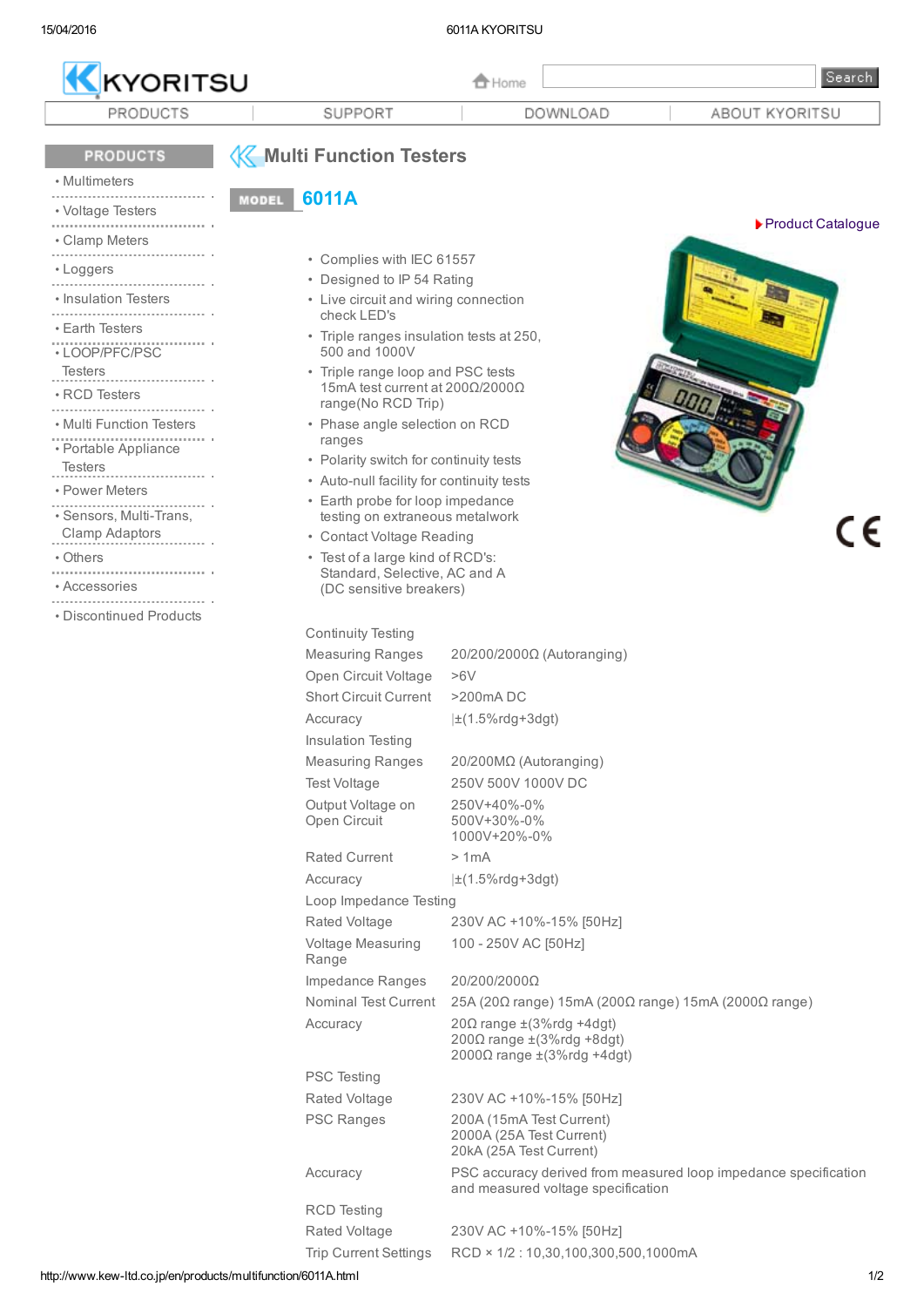| KYORITSU                            |                                                                                            |                                                                               | <b>f</b> Home                              |                                                                                                         |  | Search                                                          |
|-------------------------------------|--------------------------------------------------------------------------------------------|-------------------------------------------------------------------------------|--------------------------------------------|---------------------------------------------------------------------------------------------------------|--|-----------------------------------------------------------------|
| PRODUCTS                            |                                                                                            | SUPPORT                                                                       |                                            | DOWNLOAD                                                                                                |  | ABOUT KYORITSU                                                  |
| <b>PRODUCTS</b><br>• Multimeters    | <b>MODEL</b>                                                                               | <b>K</b> Multi Function Testers<br>6011A                                      |                                            |                                                                                                         |  |                                                                 |
| • Voltage Testers<br>• Clamp Meters |                                                                                            |                                                                               |                                            |                                                                                                         |  | ▶ Product Catalogue                                             |
| • Loggers                           |                                                                                            | • Complies with IEC 61557                                                     |                                            |                                                                                                         |  |                                                                 |
| • Insulation Testers                |                                                                                            | • Designed to IP 54 Rating<br>• Live circuit and wiring connection            |                                            |                                                                                                         |  |                                                                 |
| • Earth Testers                     |                                                                                            | check LED's                                                                   |                                            |                                                                                                         |  |                                                                 |
| • LOOP/PFC/PSC                      |                                                                                            | • Triple ranges insulation tests at 250,<br>500 and 1000V                     |                                            |                                                                                                         |  |                                                                 |
| <b>Testers</b><br>• RCD Testers     | • Triple range loop and PSC tests<br>15mA test current at 200Ω/2000Ω<br>range(No RCD Trip) |                                                                               |                                            |                                                                                                         |  |                                                                 |
| • Multi Function Testers            |                                                                                            | • Phase angle selection on RCD                                                |                                            |                                                                                                         |  |                                                                 |
| • Portable Appliance                |                                                                                            | ranges                                                                        |                                            |                                                                                                         |  |                                                                 |
| <b>Testers</b>                      |                                                                                            | • Polarity switch for continuity tests                                        |                                            |                                                                                                         |  |                                                                 |
| • Power Meters                      |                                                                                            | • Auto-null facility for continuity tests<br>• Earth probe for loop impedance |                                            |                                                                                                         |  |                                                                 |
| · Sensors, Multi-Trans,             |                                                                                            | testing on extraneous metalwork                                               |                                            |                                                                                                         |  |                                                                 |
| Clamp Adaptors                      |                                                                                            | • Contact Voltage Reading                                                     |                                            |                                                                                                         |  |                                                                 |
| • Others                            |                                                                                            | • Test of a large kind of RCD's:<br>Standard, Selective, AC and A             |                                            |                                                                                                         |  |                                                                 |
| • Accessories                       |                                                                                            | (DC sensitive breakers)                                                       |                                            |                                                                                                         |  |                                                                 |
| • Discontinued Products             |                                                                                            |                                                                               |                                            |                                                                                                         |  |                                                                 |
|                                     |                                                                                            | <b>Continuity Testing</b>                                                     |                                            |                                                                                                         |  |                                                                 |
|                                     |                                                                                            | <b>Measuring Ranges</b>                                                       |                                            | $20/200/2000\Omega$ (Autoranging)                                                                       |  |                                                                 |
|                                     |                                                                                            | Open Circuit Voltage                                                          | >6V                                        |                                                                                                         |  |                                                                 |
|                                     |                                                                                            | <b>Short Circuit Current</b>                                                  | $>$ 200 $m$ A DC                           |                                                                                                         |  |                                                                 |
|                                     |                                                                                            | Accuracy<br>Insulation Testing                                                | $\pm$ (1.5%rdg+3dgt)                       |                                                                                                         |  |                                                                 |
|                                     |                                                                                            | <b>Measuring Ranges</b>                                                       |                                            | 20/200ΜΩ (Autoranging)                                                                                  |  |                                                                 |
|                                     |                                                                                            | Test Voltage                                                                  |                                            | 250V 500V 1000V DC                                                                                      |  |                                                                 |
|                                     |                                                                                            | Output Voltage on<br>Open Circuit                                             | 250V+40%-0%<br>500V+30%-0%<br>1000V+20%-0% |                                                                                                         |  |                                                                 |
|                                     |                                                                                            | <b>Rated Current</b>                                                          | >1mA                                       |                                                                                                         |  |                                                                 |
|                                     |                                                                                            | Accuracy                                                                      | $\pm(1.5\% \text{rdg+3dgt})$               |                                                                                                         |  |                                                                 |
|                                     |                                                                                            | Loop Impedance Testing                                                        |                                            |                                                                                                         |  |                                                                 |
|                                     |                                                                                            | Rated Voltage                                                                 |                                            | 230V AC +10%-15% [50Hz]                                                                                 |  |                                                                 |
|                                     |                                                                                            | Voltage Measuring<br>Range                                                    |                                            | 100 - 250V AC [50Hz]                                                                                    |  |                                                                 |
|                                     |                                                                                            | Impedance Ranges                                                              | 20/200/2000Ω                               |                                                                                                         |  |                                                                 |
|                                     |                                                                                            | <b>Nominal Test Current</b>                                                   |                                            | 25A (20Ω range) 15mA (200Ω range) 15mA (2000Ω range)                                                    |  |                                                                 |
|                                     |                                                                                            | Accuracy                                                                      |                                            | $20\Omega$ range $\pm$ (3%rdg +4dgt)<br>$200Ω$ range $±(3%$ rdg +8dgt)<br>2000Ω range $±$ (3%rdg +4dgt) |  |                                                                 |
|                                     |                                                                                            | <b>PSC Testing</b>                                                            |                                            |                                                                                                         |  |                                                                 |
|                                     |                                                                                            | Rated Voltage                                                                 |                                            | 230V AC +10%-15% [50Hz]                                                                                 |  |                                                                 |
|                                     |                                                                                            | <b>PSC Ranges</b>                                                             |                                            | 200A (15mA Test Current)<br>2000A (25A Test Current)<br>20kA (25A Test Current)                         |  |                                                                 |
|                                     |                                                                                            | Accuracy                                                                      |                                            | and measured voltage specification                                                                      |  | PSC accuracy derived from measured loop impedance specification |
|                                     |                                                                                            | <b>RCD</b> Testing                                                            |                                            |                                                                                                         |  |                                                                 |
|                                     |                                                                                            | Rated Voltage                                                                 |                                            | 230V AC +10%-15% [50Hz]                                                                                 |  |                                                                 |
|                                     |                                                                                            | <b>Trip Current Settings</b>                                                  |                                            | RCD × 1/2:10,30,100,300,500,1000mA                                                                      |  |                                                                 |